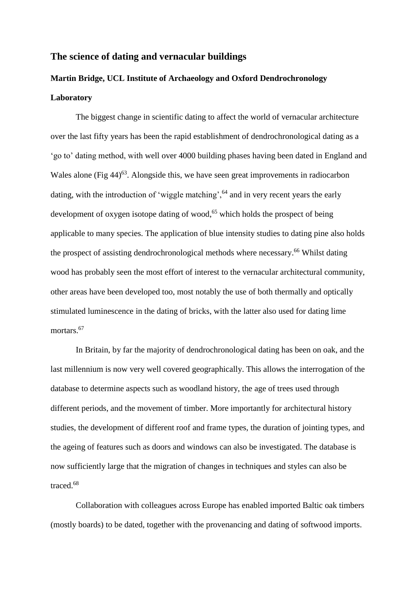## **The science of dating and vernacular buildings**

## **Martin Bridge, UCL Institute of Archaeology and Oxford Dendrochronology Laboratory**

The biggest change in scientific dating to affect the world of vernacular architecture over the last fifty years has been the rapid establishment of dendrochronological dating as a 'go to' dating method, with well over 4000 building phases having been dated in England and Wales alone (Fig  $44$ )<sup>63</sup>. Alongside this, we have seen great improvements in radiocarbon dating, with the introduction of 'wiggle matching',<sup>64</sup> and in very recent years the early development of oxygen isotope dating of wood, <sup>65</sup> which holds the prospect of being applicable to many species. The application of blue intensity studies to dating pine also holds the prospect of assisting dendrochronological methods where necessary.<sup>66</sup> Whilst dating wood has probably seen the most effort of interest to the vernacular architectural community, other areas have been developed too, most notably the use of both thermally and optically stimulated luminescence in the dating of bricks, with the latter also used for dating lime mortars.<sup>67</sup>

In Britain, by far the majority of dendrochronological dating has been on oak, and the last millennium is now very well covered geographically. This allows the interrogation of the database to determine aspects such as woodland history, the age of trees used through different periods, and the movement of timber. More importantly for architectural history studies, the development of different roof and frame types, the duration of jointing types, and the ageing of features such as doors and windows can also be investigated. The database is now sufficiently large that the migration of changes in techniques and styles can also be traced.<sup>68</sup>

Collaboration with colleagues across Europe has enabled imported Baltic oak timbers (mostly boards) to be dated, together with the provenancing and dating of softwood imports.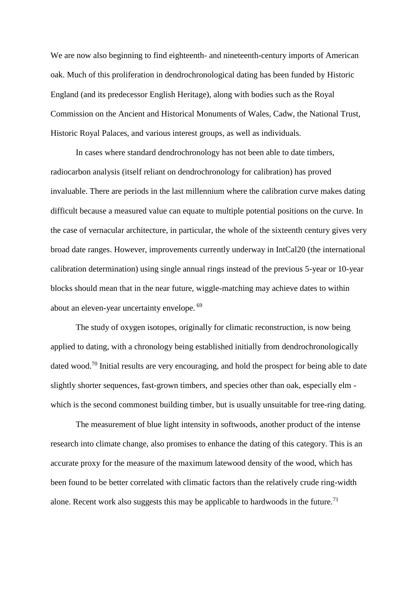We are now also beginning to find eighteenth- and nineteenth-century imports of American oak. Much of this proliferation in dendrochronological dating has been funded by Historic England (and its predecessor English Heritage), along with bodies such as the Royal Commission on the Ancient and Historical Monuments of Wales, Cadw, the National Trust, Historic Royal Palaces, and various interest groups, as well as individuals.

In cases where standard dendrochronology has not been able to date timbers, radiocarbon analysis (itself reliant on dendrochronology for calibration) has proved invaluable. There are periods in the last millennium where the calibration curve makes dating difficult because a measured value can equate to multiple potential positions on the curve. In the case of vernacular architecture, in particular, the whole of the sixteenth century gives very broad date ranges. However, improvements currently underway in IntCal20 (the international calibration determination) using single annual rings instead of the previous 5-year or 10-year blocks should mean that in the near future, wiggle-matching may achieve dates to within about an eleven-year uncertainty envelope. <sup>69</sup>

The study of oxygen isotopes, originally for climatic reconstruction, is now being applied to dating, with a chronology being established initially from dendrochronologically dated wood.<sup>70</sup> Initial results are very encouraging, and hold the prospect for being able to date slightly shorter sequences, fast-grown timbers, and species other than oak, especially elm which is the second commonest building timber, but is usually unsuitable for tree-ring dating.

The measurement of blue light intensity in softwoods, another product of the intense research into climate change, also promises to enhance the dating of this category. This is an accurate proxy for the measure of the maximum latewood density of the wood, which has been found to be better correlated with climatic factors than the relatively crude ring-width alone. Recent work also suggests this may be applicable to hardwoods in the future.<sup>71</sup>